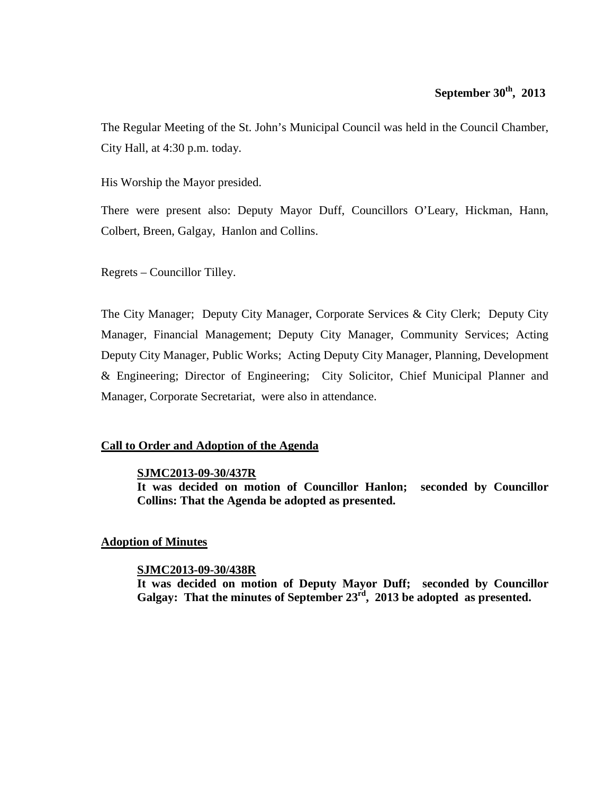## **September 30th, 2013**

The Regular Meeting of the St. John's Municipal Council was held in the Council Chamber, City Hall, at 4:30 p.m. today.

His Worship the Mayor presided.

There were present also: Deputy Mayor Duff, Councillors O'Leary, Hickman, Hann, Colbert, Breen, Galgay, Hanlon and Collins.

Regrets – Councillor Tilley.

The City Manager; Deputy City Manager, Corporate Services & City Clerk; Deputy City Manager, Financial Management; Deputy City Manager, Community Services; Acting Deputy City Manager, Public Works; Acting Deputy City Manager, Planning, Development & Engineering; Director of Engineering; City Solicitor, Chief Municipal Planner and Manager, Corporate Secretariat, were also in attendance.

### **Call to Order and Adoption of the Agenda**

### **SJMC2013-09-30/437R**

**It was decided on motion of Councillor Hanlon; seconded by Councillor Collins: That the Agenda be adopted as presented.**

### **Adoption of Minutes**

### **SJMC2013-09-30/438R**

**It was decided on motion of Deputy Mayor Duff; seconded by Councillor Galgay: That the minutes of September 23rd, 2013 be adopted as presented.**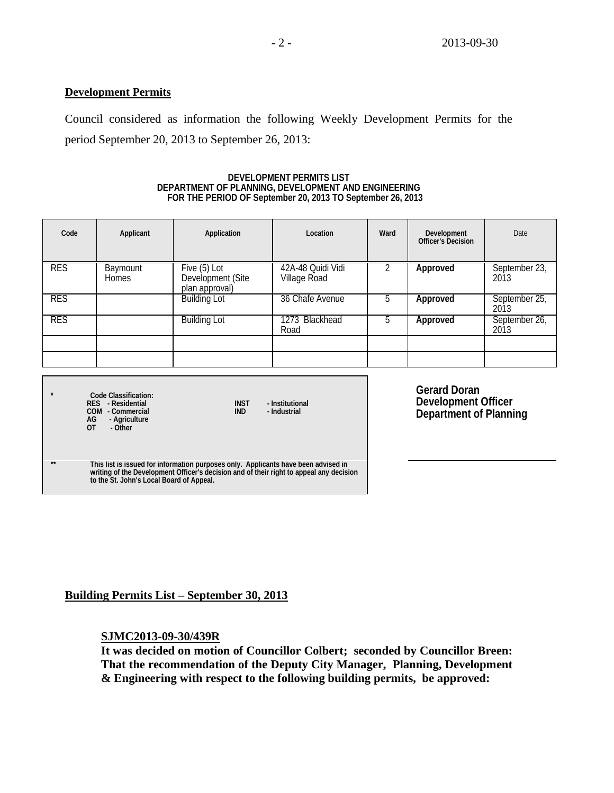### **Development Permits**

Council considered as information the following Weekly Development Permits for the period September 20, 2013 to September 26, 2013:

### **DEVELOPMENT PERMITS LIST DEPARTMENT OF PLANNING, DEVELOPMENT AND ENGINEERING FOR THE PERIOD OF September 20, 2013 TO September 26, 2013**

| Code       | Applicant                       | Application                                         | Location                          | Ward | Development<br>Officer's Decision | Date                  |
|------------|---------------------------------|-----------------------------------------------------|-----------------------------------|------|-----------------------------------|-----------------------|
| <b>RES</b> | <b>Baymount</b><br><b>Homes</b> | Five (5) Lot<br>Development (Site<br>plan approval) | 42A-48 Quidi Vidi<br>Village Road |      | Approved                          | September 23,<br>2013 |
| <b>RES</b> |                                 | <b>Building Lot</b>                                 | 36 Chafe Avenue                   | b    | Approved                          | September 25,<br>2013 |
| <b>RES</b> |                                 | <b>Building Lot</b>                                 | 1273 Blackhead<br>Road            | 5    | Approved                          | September 26,<br>2013 |
|            |                                 |                                                     |                                   |      |                                   |                       |
|            |                                 |                                                     |                                   |      |                                   |                       |
|            |                                 |                                                     |                                   |      |                                   |                       |

|              | Code Classification:<br>RES - Residential<br>COM - Commercial<br>AG<br>- Agriculture<br>ΩT<br>- Other                                                                                                                     | <b>INST</b><br><b>IND</b> | - Institutional<br>- Industrial |  |
|--------------|---------------------------------------------------------------------------------------------------------------------------------------------------------------------------------------------------------------------------|---------------------------|---------------------------------|--|
| $\star\star$ | This list is issued for information purposes only. Applicants have been advised in<br>writing of the Development Officer's decision and of their right to appeal any decision<br>to the St. John's Local Board of Appeal. |                           |                                 |  |

**Gerard Doran Development Officer Department of Planning**

**Building Permits List – September 30, 2013**

### **SJMC2013-09-30/439R**

**It was decided on motion of Councillor Colbert; seconded by Councillor Breen: That the recommendation of the Deputy City Manager, Planning, Development & Engineering with respect to the following building permits, be approved:**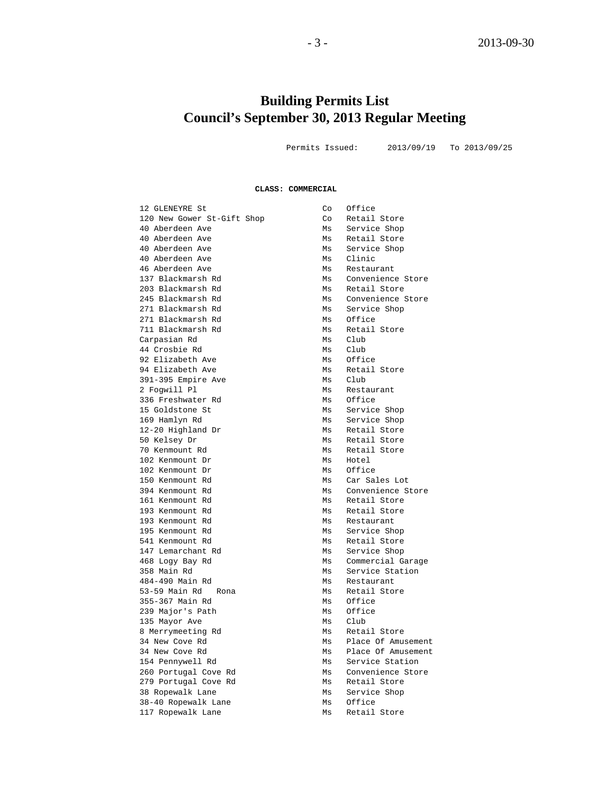# **Building Permits List Council's September 30, 2013 Regular Meeting**

Permits Issued: 2013/09/19 To 2013/09/25

#### **CLASS: COMMERCIAL**

|    | Office                                                                                                                                       |
|----|----------------------------------------------------------------------------------------------------------------------------------------------|
|    | Retail Store                                                                                                                                 |
|    |                                                                                                                                              |
|    | Service Shop                                                                                                                                 |
|    | Retail Store                                                                                                                                 |
|    | Service Shop                                                                                                                                 |
|    | Clinic                                                                                                                                       |
|    | Restaurant                                                                                                                                   |
|    | Convenience Store                                                                                                                            |
|    | Retail Store                                                                                                                                 |
| Ms | Convenience Store                                                                                                                            |
| Ms | Service Shop                                                                                                                                 |
| Ms | Office                                                                                                                                       |
| Ms | Retail Store                                                                                                                                 |
| Ms | Club                                                                                                                                         |
| Ms | Club                                                                                                                                         |
| Ms | Office                                                                                                                                       |
| Ms | Retail Store                                                                                                                                 |
| Ms | Club                                                                                                                                         |
| Ms | Restaurant                                                                                                                                   |
| Ms | Office                                                                                                                                       |
| Ms | Service Shop                                                                                                                                 |
| Ms | Service Shop                                                                                                                                 |
|    | Retail Store                                                                                                                                 |
| Ms | Retail Store                                                                                                                                 |
|    | Retail Store                                                                                                                                 |
|    | Hotel                                                                                                                                        |
|    | Office                                                                                                                                       |
|    | Car Sales Lot                                                                                                                                |
|    | Convenience Store                                                                                                                            |
|    | Retail Store                                                                                                                                 |
|    | Retail Store                                                                                                                                 |
|    |                                                                                                                                              |
|    | Restaurant                                                                                                                                   |
|    | Service Shop                                                                                                                                 |
|    | Retail Store                                                                                                                                 |
|    | Service Shop                                                                                                                                 |
|    | Commercial Garage                                                                                                                            |
|    | Service Station                                                                                                                              |
|    | Restaurant                                                                                                                                   |
| Ms | Retail Store                                                                                                                                 |
| Ms | Office                                                                                                                                       |
| Ms | Office                                                                                                                                       |
| Ms | Club                                                                                                                                         |
| Ms | Retail Store                                                                                                                                 |
| Ms | Place Of Amusement                                                                                                                           |
| Ms | Place Of Amusement                                                                                                                           |
| Ms | Service Station                                                                                                                              |
| Ms | Convenience Store                                                                                                                            |
| Ms | Retail Store                                                                                                                                 |
| Ms | Service Shop                                                                                                                                 |
| Ms | Office                                                                                                                                       |
| Ms | Retail Store                                                                                                                                 |
|    | Co<br>Co<br>Ms<br>Ms<br>Ms<br>Ms<br>Ms<br>Ms<br>Ms<br>Ms<br>Ms<br>Ms<br>Ms<br>Ms<br>Ms<br>Ms<br>Ms<br>Ms<br>Ms<br>Ms<br>Ms<br>Ms<br>Ms<br>Ms |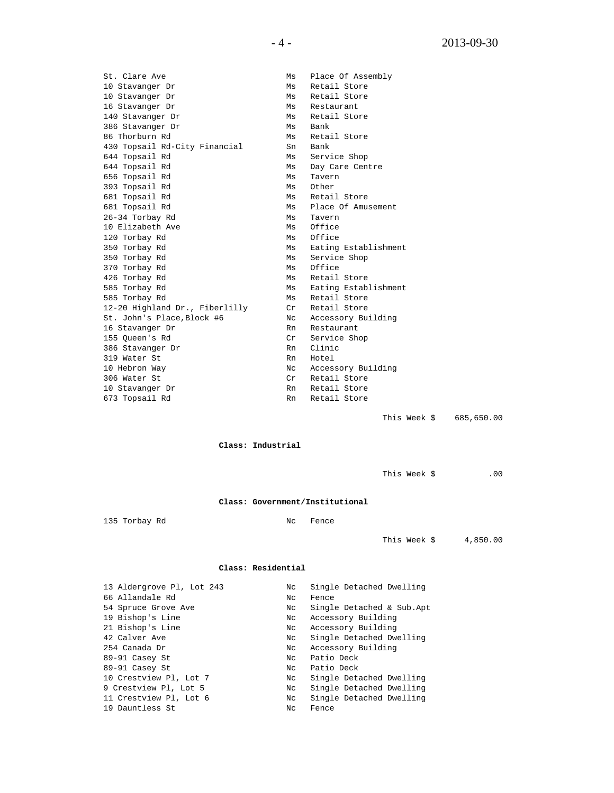St. Clare Ave Ms Place Of Assembly 10 Stavanger Dr Ms Retail Store<br>10 Stavanger Dr Ms Retail Store 10 Stavanger Dr Ms Retail Store<br>16 Stavanger Dr Ms Restaurant 16 Stavanger Dr Ms Restaurant<br>140 Stavanger Dr Ms Retail Stor 140 Stavanger Dr Ms Retail Store<br>386 Stavanger Dr Ms Bank 386 Stavanger Dr Ms Bank 86 Thorburn Rd Ms Retail Store 430 Topsail Rd-City Financial Sn Bank 644 Topsail Rd Ms Service Shop 644 Topsail Rd<br>656 Topsail Rd<br>Ms Tavern 656 Topsail Rd<br>393 Topsail Rd<br>Ms Other 393 Topsail Rd<br>681 Topsail Rd 681 Topsail Rd<br>681 Topsail Rd<br>Ms Place Of Amus Ms Place Of Amusement<br>Ms Tavern<br>Ms Office 26-34 Torbay Rd<br>10 Elizabeth Ave Ms Office 10 Elizabeth Ave Ms Office<br>120 Torbay Rd Ms Office 120 Torbay Rd<br>350 Torbay Rd 350 Torbay Rd<br>350 Torbay Rd<br>350 Torbay Rd<br>350 Torbay Rd Ms Service Shop<br>Ms Office 370 Torbay Rd<br>426 Torbay Rd 426 Torbay Rd<br>585 Torbay Rd<br>Ms Eating Establ 585 Torbay Rd<br>585 Torbay Rd<br>585 Torbay Rd<br>585 Torbay Rd 585 Torbay Rd Ms Retail Store 12-20 Highland Dr., Fiberlilly Cr Retail Store St. John's Place,Block #6 Nc Accessory Building 16 Stavanger Dr 16 Stavanger Dr 16 Stavanger Dr 16 Stavanger Dr 16 Stavanger Dr 16 Stavanger Dr 16 Stavanger Pr<br>155 Queen's Rd 16 Stavanger Dr 16 Service Shop 155 Queen's Rd Cr Service Shop 386 Stavanger Dr Rn Clinic 319 Water St<br>10 Hebron Way 10 Hebron Way  $\begin{array}{ccc} & Nc & \text{Accessory Building} \\ 306 & \text{Water St} & \text{Cr} & \text{Retail Store} \end{array}$ 306 Water St Cr Retail Store 10 Stavanger Dr Rn Retail Store<br>
573 Topsail Rd Rn Retail Store Rn Retail Store

This Week \$ 685,650.00

**Class: Industrial**

This Week  $\frac{1}{2}$  .00

#### **Class: Government/Institutional**

135 Torbay Rd Nc Fence

This Week \$ 4,850.00

#### **Class: Residential**

| 13 Aldergrove Pl, Lot 243 | Nc  | Single Detached Dwelling  |
|---------------------------|-----|---------------------------|
| 66 Allandale Rd           | Nc  | Fence                     |
| 54 Spruce Grove Ave       | Nc  | Single Detached & Sub.Apt |
| 19 Bishop's Line          | Nc  | Accessory Building        |
| 21 Bishop's Line          | Nc  | Accessory Building        |
| 42 Calver Ave             | Nc  | Single Detached Dwelling  |
| 254 Canada Dr             | Nc  | Accessory Building        |
| 89-91 Casey St            | Nc  | Patio Deck                |
| 89-91 Casey St            | NC. | Patio Deck                |
| 10 Crestview Pl, Lot 7    | Nc  | Single Detached Dwelling  |
| 9 Crestview Pl, Lot 5     | Nc  | Single Detached Dwelling  |
| 11 Crestview Pl, Lot 6    | Nc  | Single Detached Dwelling  |
| 19 Dauntless St           | Nc  | Fence                     |
|                           |     |                           |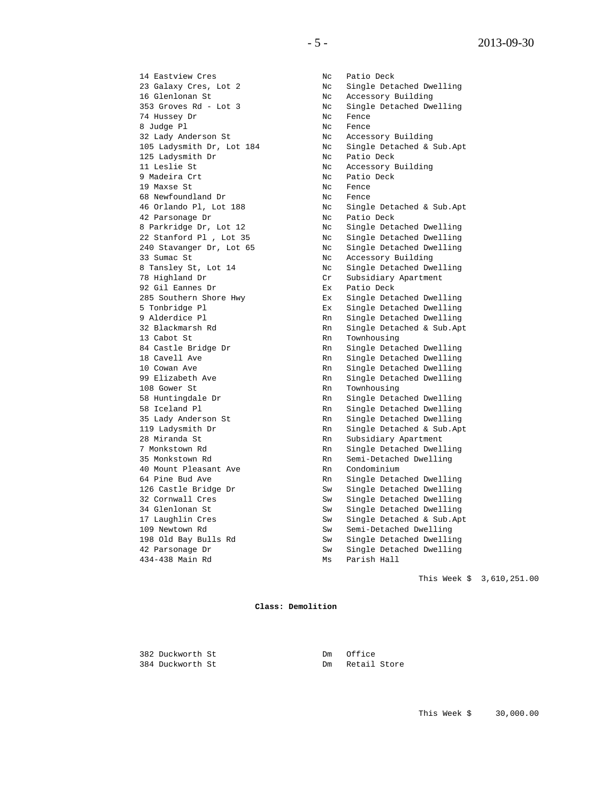14 Eastview Cres No. 2016 No. 2016 Patio Deck 16 Glenlonan St Nc Accessory Building 74 Hussey Dr Nc Fence 8 Judge Pl Nc Fence 32 Lady Anderson St Nc Accessory Building 125 Ladysmith Dr No Ratio Deck 11 Leslie St Nc Accessory Building 9 Madeira Crt Nc Patio Deck 19 Maxse St Note and State State State State State State State State State State State State State State State 68 Newfoundland Dr Nc Fence 42 Parsonage Dr Nc Patio Deck 33 Sumac St No. 2016 Sumac St 28 Southern Shore Hwy<br>385 Southern Shore Hwy<br>5 Tonbridge Pl 13 Cabot St Rn Townhousing 108 Gower St Rn Townhousing 35 Lady Anderson St<br>119 Ladysmith Dr 28 Miranda St Rn Subsidiary Apartment 40 Mount Pleasant Ave Rn Condominium 04 Fine Dwe Single<br>126 Castle Bridge Dr<br>32 Cornwall Cres

23 Galaxy Cres, Lot 2 Nc Single Detached Dwelling 353 Groves Rd - Lot 3 Nc Single Detached Dwelling 105 Ladysmith Dr, Lot 184 Nc Single Detached & Sub.Apt 46 Orlando Pl, Lot 188 Nc Single Detached & Sub.Apt 8 Parkridge Dr, Lot 12 Nc Single Detached Dwelling 22 Stanford Pl , Lot 35 Nc Single Detached Dwelling 240 Stavanger Dr, Lot 65 Nc Single Detached Dwelling 8 Tansley St, Lot 14 No. New York Cheesebory Barrams of the Magnetic Research of New York Cr. Subsidiary Apartment Cr Subsidiary Apartment<br>Ex Patio Deck 92 Gil Eannes Dr Ex Patio Deck 5 Tonbridge Pl Ex Single Detached Dwelling 9 Alderdice Pl Rn Single Detached Dwelling 32 Blackmarsh Rd Rn Single Detached & Sub.Apt 84 Castle Bridge Dr Rn Single Detached Dwelling 18 Castle Bridge Dr<br>
18 Cavell Ave Rn Single Detached Dwelling<br>
18 Cavell Ave Rn Single Detached Dwelling<br>
10 Cowan Ave Rn Single Detached Dwelling 10 Cowan Ave Rn Single Detached Dwelling Rn Single Detached Dwelling<br>Rn Townhousing 58 Huntingdale Dr Rn Single Detached Dwelling 58 Iceland Pl Rn Single Detached Dwelling 119 Ladysmith Dr Rn Single Detached & Sub.Apt 7 Monkstown Rd Rn Rn Single Detached Dwelling 35 Monkstown Rd Rn Semi-Detached Dwelling 64 Pine Bud Ave Rn Single Detached Dwelling<br>126 Castle Bridge Dr Sw Single Detached Dwelling Sw Single Detached Dwelling 34 Glenlonan St<br>17 Laughlin Cres<br>17 Laughlin Cres<br>13 Sw Single Detached & Sub.Apt 17 Laughlin Cres Sw Single Detached & Sub.Apt 109 Newtown Rd Sw Semi-Detached Dwelling 109 Newtown Rd<br>
198 Old Bay Bulls Rd<br>
198 Old Bay Bulls Rd<br>
12 Parsonage Dr<br>
12 Parsonage Dr<br>
Sw<br>
Single Detached Dwellir<br>
Sw<br>
Single Detached Dwellir<br>
Sw<br>
Single Detached Dwellir<br>
Newtown 198 Old Bay Bulls Rd Sw Single Detached Dwelling 42 Parsonage Dr Sw Single Detached Dwelling 434-438 Main Rd Mischlong Muscon Parish Hall

This Week \$ 3,610,251.00

**Class: Demolition**

382 Duckworth St<br>384 Duckworth St<br>Dm Retail

Dm Retail Store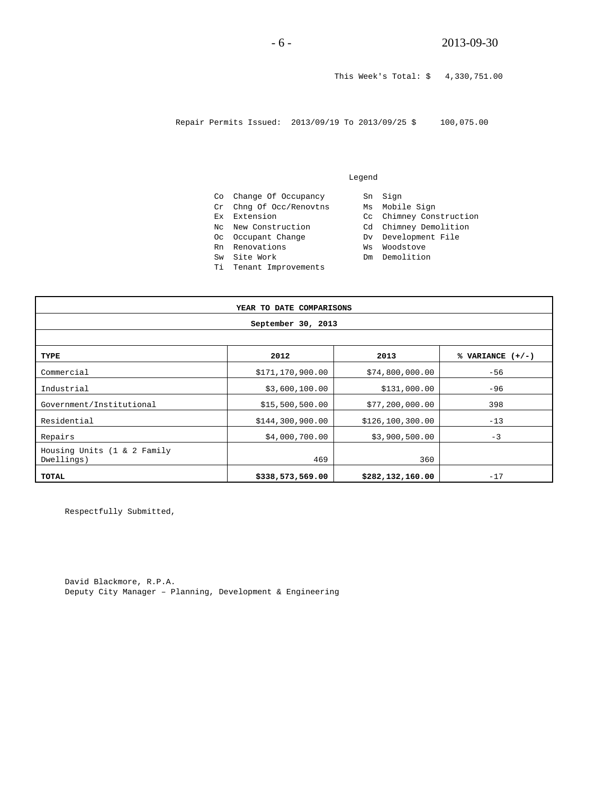This Week's Total: \$ 4,330,751.00

Repair Permits Issued: 2013/09/19 To 2013/09/25 \$ 100,075.00

#### Legend

Co Change Of Occupancy Sn Sign Cr Chng Of Occ/Renovtns Ms Mobile Sign Ex Extension Cc Chimney Construction Nc New Construction Cd Chimney Demolition Oc Occupant Change Dv Development File Rn Renovations Ws Woodstove Oc Occupant Change Demokrations<br>Sw Site Work Dm Demolition Ti Tenant Improvements

| YEAR TO DATE COMPARISONS                  |                  |                  |                    |  |
|-------------------------------------------|------------------|------------------|--------------------|--|
| September 30, 2013                        |                  |                  |                    |  |
|                                           |                  |                  |                    |  |
| TYPE                                      | 2012             | 2013             | % VARIANCE $(+/-)$ |  |
| Commercial                                | \$171,170,900.00 | \$74,800,000.00  | $-56$              |  |
| Industrial                                | \$3,600,100.00   | \$131,000.00     | $-96$              |  |
| Government/Institutional                  | \$15,500,500.00  | \$77,200,000.00  | 398                |  |
| Residential                               | \$144,300,900.00 | \$126,100,300.00 | $-13$              |  |
| Repairs                                   | \$4,000,700.00   | \$3,900,500.00   | $-3$               |  |
| Housing Units (1 & 2 Family<br>Dwellings) | 469              | 360              |                    |  |
| TOTAL                                     | \$338,573,569.00 | \$282,132,160.00 | $-17$              |  |

Respectfully Submitted,

David Blackmore, R.P.A. Deputy City Manager – Planning, Development & Engineering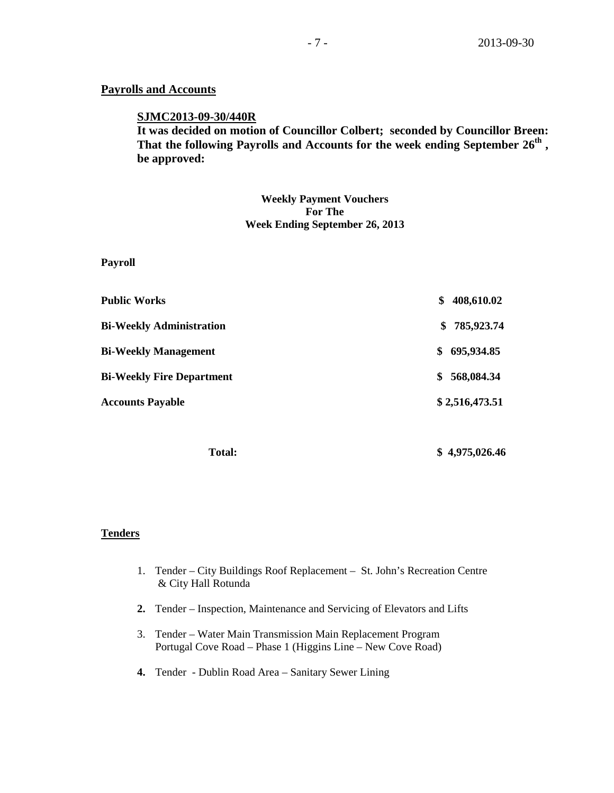### **Payrolls and Accounts**

### **SJMC2013-09-30/440R**

**It was decided on motion of Councillor Colbert; seconded by Councillor Breen: That the following Payrolls and Accounts for the week ending September 26th , be approved:**

> **Weekly Payment Vouchers For The Week Ending September 26, 2013**

**Payroll**

| <b>Public Works</b>              | \$<br>408,610.02 |
|----------------------------------|------------------|
| <b>Bi-Weekly Administration</b>  | 785,923.74<br>S. |
| <b>Bi-Weekly Management</b>      | 695,934.85<br>S  |
| <b>Bi-Weekly Fire Department</b> | 568,084.34<br>S  |
| <b>Accounts Payable</b>          | \$2,516,473.51   |
|                                  |                  |

 **Total: \$ 4,975,026.46**

### **Tenders**

- 1. Tender City Buildings Roof Replacement St. John's Recreation Centre & City Hall Rotunda
- **2.** Tender Inspection, Maintenance and Servicing of Elevators and Lifts
- 3. Tender Water Main Transmission Main Replacement Program Portugal Cove Road – Phase 1 (Higgins Line – New Cove Road)
- **4.** Tender Dublin Road Area Sanitary Sewer Lining